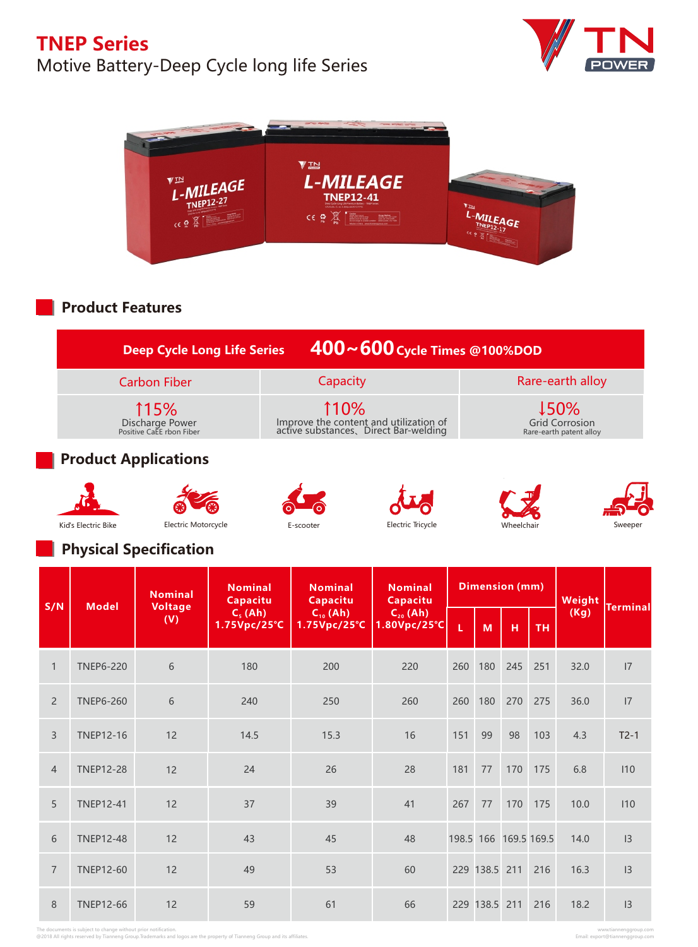# Motive Battery-Deep Cycle long life Series





## **Product Features**

|                                                                 | $1400 - 600$ Cycle Times @100%DOD                                                       | <b>Deep Cycle Long Life Series</b>                         |  |  |  |
|-----------------------------------------------------------------|-----------------------------------------------------------------------------------------|------------------------------------------------------------|--|--|--|
| Rare-earth alloy                                                | Capacity                                                                                | <b>Carbon Fiber</b>                                        |  |  |  |
| <b>↓50%</b><br><b>Grid Corrosion</b><br>Rare-earth patent alloy | 110%<br>Improve the content and utilization of<br>active substances, Direct Bar-welding | <b>115%</b><br>Discharge Power<br>Positive CaEE rbon Fiber |  |  |  |
|                                                                 |                                                                                         |                                                            |  |  |  |

### **Product Applications**











#### **Physical Specification**

| S/N            | <b>Model</b>     | <b>Nominal</b> | <b>Nominal</b><br>Capacitu | <b>Nominal</b><br>Capacitu | <b>Nominal</b><br>Capacitu    | <b>Dimension (mm)</b>         |               |                       |     | Weight    |        |
|----------------|------------------|----------------|----------------------------|----------------------------|-------------------------------|-------------------------------|---------------|-----------------------|-----|-----------|--------|
|                |                  |                | <b>Voltage</b><br>(V)      | $Cs$ (Ah)<br>1.75Vpc/25°C  | $C_{10}$ (Ah)<br>1.75Vpc/25°C | $C_{20}$ (Ah)<br>1.80Vpc/25°C | Ĺ             | M                     | н   | <b>TH</b> | (Kg)   |
| $\mathbf{1}$   | <b>TNEP6-220</b> | 6              | 180                        | 200                        | 220                           | 260                           | 180           | 245                   | 251 | 32.0      | 7      |
| $\overline{2}$ | <b>TNEP6-260</b> | 6              | 240                        | 250                        | 260                           | 260                           | 180           | 270                   | 275 | 36.0      | 7      |
| $\overline{3}$ | <b>TNEP12-16</b> | 12             | 14.5                       | 15.3                       | 16                            | 151                           | 99            | 98                    | 103 | 4.3       | $T2-1$ |
| $\overline{4}$ | <b>TNEP12-28</b> | 12             | 24                         | 26                         | 28                            | 181                           | 77            | 170                   | 175 | 6.8       | 110    |
| 5              | <b>TNEP12-41</b> | 12             | 37                         | 39                         | 41                            | 267                           | 77            | 170                   | 175 | 10.0      | 110    |
| 6              | <b>TNEP12-48</b> | 12             | 43                         | 45                         | 48                            |                               |               | 198.5 166 169.5 169.5 |     | 14.0      | 3      |
| $\overline{7}$ | <b>TNEP12-60</b> | 12             | 49                         | 53                         | 60                            |                               | 229 138.5 211 |                       | 216 | 16.3      | 3      |
| 8              | <b>TNEP12-66</b> | 12             | 59                         | 61                         | 66                            |                               | 229 138.5 211 |                       | 216 | 18.2      | 3      |